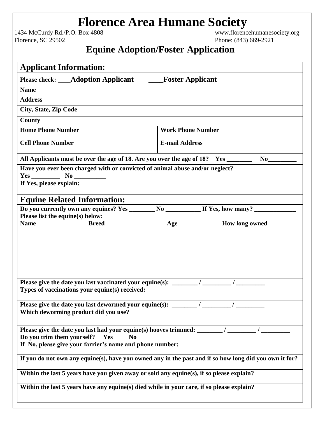## **Florence Area Humane Society**<br>Box 4808 **Figure 2018** WWW.florencehumanesociety.org

1434 McCurdy Rd./P.O. Box 4808<br>Florence, SC 29502

Phone: (843) 669-2921

## **Equine Adoption/Foster Application**

| <b>Applicant Information:</b>                                                                                                                                                                                                                                                                                                                                                                                                                                                                                                                                 |                                                                                                        |  |  |
|---------------------------------------------------------------------------------------------------------------------------------------------------------------------------------------------------------------------------------------------------------------------------------------------------------------------------------------------------------------------------------------------------------------------------------------------------------------------------------------------------------------------------------------------------------------|--------------------------------------------------------------------------------------------------------|--|--|
| Please check: ____Adoption Applicant ______Foster Applicant                                                                                                                                                                                                                                                                                                                                                                                                                                                                                                   |                                                                                                        |  |  |
| <b>Name</b>                                                                                                                                                                                                                                                                                                                                                                                                                                                                                                                                                   |                                                                                                        |  |  |
| <b>Address</b>                                                                                                                                                                                                                                                                                                                                                                                                                                                                                                                                                |                                                                                                        |  |  |
| <b>City, State, Zip Code</b>                                                                                                                                                                                                                                                                                                                                                                                                                                                                                                                                  |                                                                                                        |  |  |
| <b>County</b>                                                                                                                                                                                                                                                                                                                                                                                                                                                                                                                                                 |                                                                                                        |  |  |
| <b>Home Phone Number</b>                                                                                                                                                                                                                                                                                                                                                                                                                                                                                                                                      | <b>Work Phone Number</b>                                                                               |  |  |
| <b>Cell Phone Number</b>                                                                                                                                                                                                                                                                                                                                                                                                                                                                                                                                      | <b>E-mail Address</b>                                                                                  |  |  |
| All Applicants must be over the age of 18. Are you over the age of 18? Yes ______                                                                                                                                                                                                                                                                                                                                                                                                                                                                             | $No$ <sub>___</sub>                                                                                    |  |  |
| Have you ever been charged with or convicted of animal abuse and/or neglect?                                                                                                                                                                                                                                                                                                                                                                                                                                                                                  |                                                                                                        |  |  |
| $Yes$ No $\_\_$<br>If Yes, please explain:                                                                                                                                                                                                                                                                                                                                                                                                                                                                                                                    |                                                                                                        |  |  |
|                                                                                                                                                                                                                                                                                                                                                                                                                                                                                                                                                               |                                                                                                        |  |  |
| <b>Equine Related Information:</b>                                                                                                                                                                                                                                                                                                                                                                                                                                                                                                                            |                                                                                                        |  |  |
| Do you currently own any equines? Yes _______ No _________ If Yes, how many? _________                                                                                                                                                                                                                                                                                                                                                                                                                                                                        |                                                                                                        |  |  |
| Please list the equine(s) below:<br><b>Name</b><br><b>Breed</b>                                                                                                                                                                                                                                                                                                                                                                                                                                                                                               |                                                                                                        |  |  |
|                                                                                                                                                                                                                                                                                                                                                                                                                                                                                                                                                               | How long owned<br>Age                                                                                  |  |  |
| Please give the date you last vaccinated your equine(s): _______<br>Types of vaccinations your equine(s) received:<br>Please give the date you last dewormed your equine(s): $\frac{1}{\frac{1}{2} \cdot \frac{1}{2} \cdot \frac{1}{2} \cdot \frac{1}{2} \cdot \frac{1}{2} \cdot \frac{1}{2} \cdot \frac{1}{2} \cdot \frac{1}{2} \cdot \frac{1}{2} \cdot \frac{1}{2} \cdot \frac{1}{2} \cdot \frac{1}{2} \cdot \frac{1}{2} \cdot \frac{1}{2} \cdot \frac{1}{2} \cdot \frac{1}{2} \cdot \frac{1}{2} \cdot \frac{1}{2}$<br>Which deworming product did you use? |                                                                                                        |  |  |
| Please give the date you last had your equine(s) hooves trimmed: _______/ ____<br>Do you trim them yourself?<br>Yes<br>N <sub>0</sub><br>If No, please give your farrier's name and phone number:                                                                                                                                                                                                                                                                                                                                                             |                                                                                                        |  |  |
|                                                                                                                                                                                                                                                                                                                                                                                                                                                                                                                                                               | If you do not own any equine(s), have you owned any in the past and if so how long did you own it for? |  |  |
| Within the last 5 years have you given away or sold any equine(s), if so please explain?                                                                                                                                                                                                                                                                                                                                                                                                                                                                      |                                                                                                        |  |  |
| Within the last 5 years have any equine(s) died while in your care, if so please explain?                                                                                                                                                                                                                                                                                                                                                                                                                                                                     |                                                                                                        |  |  |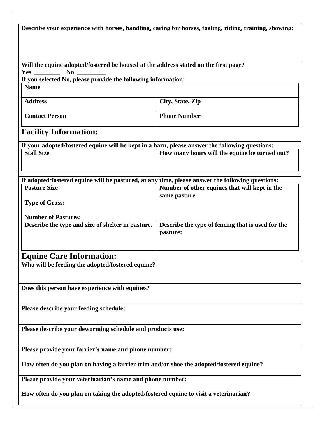| Describe your experience with horses, handling, caring for horses, foaling, riding, training, showing: |                                                   |  |  |  |
|--------------------------------------------------------------------------------------------------------|---------------------------------------------------|--|--|--|
|                                                                                                        |                                                   |  |  |  |
|                                                                                                        |                                                   |  |  |  |
|                                                                                                        |                                                   |  |  |  |
| Will the equine adopted/fostered be housed at the address stated on the first page?                    |                                                   |  |  |  |
| N <sub>0</sub><br><b>Yes</b><br>If you selected No, please provide the following information:          |                                                   |  |  |  |
| <b>Name</b>                                                                                            |                                                   |  |  |  |
|                                                                                                        |                                                   |  |  |  |
| <b>Address</b>                                                                                         | City, State, Zip                                  |  |  |  |
|                                                                                                        |                                                   |  |  |  |
| <b>Contact Person</b>                                                                                  | <b>Phone Number</b>                               |  |  |  |
|                                                                                                        |                                                   |  |  |  |
| <b>Facility Information:</b>                                                                           |                                                   |  |  |  |
| If your adopted/fostered equine will be kept in a barn, please answer the following questions:         |                                                   |  |  |  |
| <b>Stall Size</b>                                                                                      | How many hours will the equine be turned out?     |  |  |  |
|                                                                                                        |                                                   |  |  |  |
|                                                                                                        |                                                   |  |  |  |
| If adopted/fostered equine will be pastured, at any time, please answer the following questions:       |                                                   |  |  |  |
| <b>Pasture Size</b>                                                                                    | Number of other equines that will kept in the     |  |  |  |
|                                                                                                        | same pasture                                      |  |  |  |
| <b>Type of Grass:</b>                                                                                  |                                                   |  |  |  |
|                                                                                                        |                                                   |  |  |  |
| <b>Number of Pastures:</b><br>Describe the type and size of shelter in pasture.                        | Describe the type of fencing that is used for the |  |  |  |
|                                                                                                        | pasture:                                          |  |  |  |
|                                                                                                        |                                                   |  |  |  |
|                                                                                                        |                                                   |  |  |  |
| <b>Equine Care Information:</b>                                                                        |                                                   |  |  |  |
| Who will be feeding the adopted/fostered equine?                                                       |                                                   |  |  |  |
|                                                                                                        |                                                   |  |  |  |
|                                                                                                        |                                                   |  |  |  |
| Does this person have experience with equines?                                                         |                                                   |  |  |  |
|                                                                                                        |                                                   |  |  |  |
| Please describe your feeding schedule:                                                                 |                                                   |  |  |  |
|                                                                                                        |                                                   |  |  |  |
|                                                                                                        |                                                   |  |  |  |
| Please describe your deworming schedule and products use:                                              |                                                   |  |  |  |
|                                                                                                        |                                                   |  |  |  |
| Please provide your farrier's name and phone number:                                                   |                                                   |  |  |  |
|                                                                                                        |                                                   |  |  |  |
| How often do you plan on having a farrier trim and/or shoe the adopted/fostered equine?                |                                                   |  |  |  |
|                                                                                                        |                                                   |  |  |  |
| Please provide your veterinarian's name and phone number:                                              |                                                   |  |  |  |
|                                                                                                        |                                                   |  |  |  |
| How often do you plan on taking the adopted/fostered equine to visit a veterinarian?                   |                                                   |  |  |  |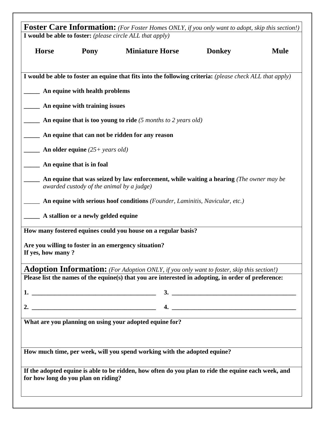|                   |                                           | <b>Foster Care Information:</b> (For Foster Homes ONLY, if you only want to adopt, skip this section!)   |               |             |
|-------------------|-------------------------------------------|----------------------------------------------------------------------------------------------------------|---------------|-------------|
|                   |                                           | I would be able to foster: (please circle ALL that apply)                                                |               |             |
| <b>Horse</b>      | Pony                                      | <b>Miniature Horse</b>                                                                                   | <b>Donkey</b> | <b>Mule</b> |
|                   |                                           | I would be able to foster an equine that fits into the following criteria: (please check ALL that apply) |               |             |
|                   | An equine with health problems            |                                                                                                          |               |             |
|                   | An equine with training issues            |                                                                                                          |               |             |
|                   |                                           | An equine that is too young to ride $(5 \text{ months to } 2 \text{ years old})$                         |               |             |
|                   |                                           | An equine that can not be ridden for any reason                                                          |               |             |
|                   | An older equine $(25+)$ years old)        |                                                                                                          |               |             |
|                   | An equine that is in foal                 |                                                                                                          |               |             |
|                   | awarded custody of the animal by a judge) | An equine that was seized by law enforcement, while waiting a hearing (The owner may be                  |               |             |
|                   |                                           | An equine with serious hoof conditions (Founder, Laminitis, Navicular, etc.)                             |               |             |
|                   | A stallion or a newly gelded equine       |                                                                                                          |               |             |
|                   |                                           | How many fostered equines could you house on a regular basis?                                            |               |             |
| If yes, how many? |                                           | Are you willing to foster in an emergency situation?                                                     |               |             |
|                   |                                           | Adoption Information: (For Adoption ONLY, if you only want to foster, skip this section!)                |               |             |
|                   |                                           | Please list the names of the equine(s) that you are interested in adopting, in order of preference:      |               |             |
|                   |                                           |                                                                                                          | $\frac{3}{2}$ |             |
|                   |                                           |                                                                                                          |               |             |
|                   |                                           | What are you planning on using your adopted equine for?                                                  |               |             |
|                   |                                           |                                                                                                          |               |             |
|                   |                                           | How much time, per week, will you spend working with the adopted equine?                                 |               |             |
|                   | for how long do you plan on riding?       | If the adopted equine is able to be ridden, how often do you plan to ride the equine each week, and      |               |             |
|                   |                                           |                                                                                                          |               |             |